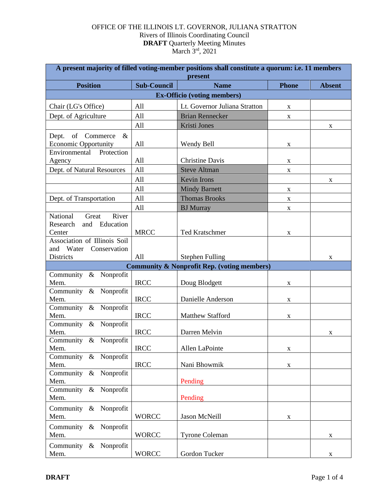| A present majority of filled voting-member positions shall constitute a quorum: i.e. 11 members<br>present |                    |                               |              |               |  |  |
|------------------------------------------------------------------------------------------------------------|--------------------|-------------------------------|--------------|---------------|--|--|
| <b>Position</b>                                                                                            | <b>Sub-Council</b> | <b>Name</b>                   | <b>Phone</b> | <b>Absent</b> |  |  |
| <b>Ex-Officio (voting members)</b>                                                                         |                    |                               |              |               |  |  |
| Chair (LG's Office)                                                                                        | All                | Lt. Governor Juliana Stratton | X            |               |  |  |
| Dept. of Agriculture                                                                                       | All                | <b>Brian Rennecker</b>        | $\mathbf X$  |               |  |  |
|                                                                                                            | All                | Kristi Jones                  |              | X             |  |  |
| Dept.<br>of Commerce<br>$\&$<br><b>Economic Opportunity</b>                                                | All                | Wendy Bell                    | X            |               |  |  |
| Environmental<br>Protection<br>Agency                                                                      | All                | <b>Christine Davis</b>        | X            |               |  |  |
| Dept. of Natural Resources                                                                                 | All                | <b>Steve Altman</b>           | $\mathbf X$  |               |  |  |
|                                                                                                            | All                | Kevin Irons                   |              | X             |  |  |
|                                                                                                            | All                | <b>Mindy Barnett</b>          | X            |               |  |  |
| Dept. of Transportation                                                                                    | All                | <b>Thomas Brooks</b>          | X            |               |  |  |
|                                                                                                            | All                | <b>BJ</b> Murray              | X            |               |  |  |
| National<br>River<br>Great<br>Education<br>Research<br>and<br>Center                                       | <b>MRCC</b>        | <b>Ted Kratschmer</b>         | $\mathbf X$  |               |  |  |
| Association of Illinois Soil<br>and Water<br>Conservation<br>Districts                                     | All                | <b>Stephen Fulling</b>        |              | X             |  |  |
| <b>Community &amp; Nonprofit Rep. (voting members)</b>                                                     |                    |                               |              |               |  |  |
| Community & Nonprofit<br>Mem.                                                                              | <b>IRCC</b>        | Doug Blodgett                 | X            |               |  |  |
| Community & Nonprofit<br>Mem.                                                                              | <b>IRCC</b>        | Danielle Anderson             | $\mathbf X$  |               |  |  |
| Community & Nonprofit<br>Mem.                                                                              | <b>IRCC</b>        | Matthew Stafford              | $\mathbf X$  |               |  |  |
| Community & Nonprofit<br>Mem.                                                                              | <b>IRCC</b>        | Darren Melvin                 |              | X             |  |  |
| Community & Nonprofit<br>Mem.                                                                              | <b>IRCC</b>        | Allen LaPointe                | $\mathbf X$  |               |  |  |
| Community & Nonprofit<br>Mem.                                                                              | <b>IRCC</b>        | Nani Bhowmik                  | $\mathbf X$  |               |  |  |
| Community & Nonprofit<br>Mem.                                                                              |                    | Pending                       |              |               |  |  |
| Community & Nonprofit<br>Mem.                                                                              |                    | Pending                       |              |               |  |  |
| Community & Nonprofit<br>Mem.                                                                              | <b>WORCC</b>       | Jason McNeill                 | X            |               |  |  |
| Community & Nonprofit<br>Mem.                                                                              | <b>WORCC</b>       | <b>Tyrone Coleman</b>         |              | X             |  |  |
| Community & Nonprofit<br>Mem.                                                                              | <b>WORCC</b>       | Gordon Tucker                 |              | X             |  |  |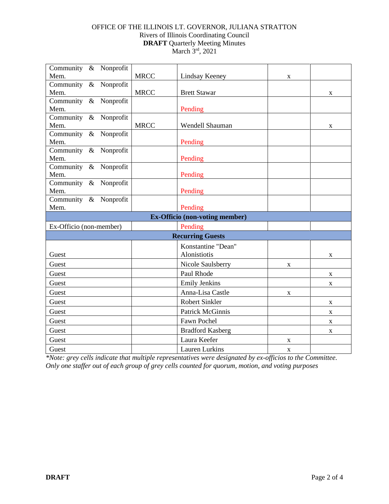| Community & Nonprofit                 |             |                         |             |              |  |  |
|---------------------------------------|-------------|-------------------------|-------------|--------------|--|--|
| Mem.                                  | <b>MRCC</b> | Lindsay Keeney          | $\mathbf X$ |              |  |  |
| Community & Nonprofit                 |             |                         |             |              |  |  |
| Mem.                                  | <b>MRCC</b> | <b>Brett Stawar</b>     |             | $\mathbf X$  |  |  |
| Community & Nonprofit                 |             |                         |             |              |  |  |
| Mem.                                  |             | Pending                 |             |              |  |  |
| Community & Nonprofit                 |             |                         |             |              |  |  |
| Mem.                                  | <b>MRCC</b> | Wendell Shauman         |             | X            |  |  |
| Community & Nonprofit                 |             |                         |             |              |  |  |
| Mem.                                  |             | Pending                 |             |              |  |  |
| Community & Nonprofit                 |             |                         |             |              |  |  |
| Mem.                                  |             | Pending                 |             |              |  |  |
| Community & Nonprofit                 |             |                         |             |              |  |  |
| Mem.                                  |             | Pending                 |             |              |  |  |
| Community & Nonprofit                 |             |                         |             |              |  |  |
| Mem.                                  |             | Pending                 |             |              |  |  |
| Community & Nonprofit                 |             |                         |             |              |  |  |
| Mem.                                  |             | Pending                 |             |              |  |  |
| <b>Ex-Officio</b> (non-voting member) |             |                         |             |              |  |  |
| Ex-Officio (non-member)               |             | Pending                 |             |              |  |  |
| <b>Recurring Guests</b>               |             |                         |             |              |  |  |
|                                       |             | Konstantine "Dean"      |             |              |  |  |
| Guest                                 |             | Alonistiotis            |             | X            |  |  |
| Guest                                 |             | Nicole Saulsberry       | X           |              |  |  |
| Guest                                 |             | Paul Rhode              |             | $\mathbf{X}$ |  |  |
| Guest                                 |             | <b>Emily Jenkins</b>    |             | X            |  |  |
| Guest                                 |             | Anna-Lisa Castle        | $\mathbf X$ |              |  |  |
| Guest                                 |             | <b>Robert Sinkler</b>   |             | $\mathbf{X}$ |  |  |
| Guest                                 |             | <b>Patrick McGinnis</b> |             | X            |  |  |
| Guest                                 |             | Fawn Pochel             |             | X            |  |  |
| Guest                                 |             | <b>Bradford Kasberg</b> |             | X            |  |  |
| Guest                                 |             | Laura Keefer            | $\mathbf X$ |              |  |  |
| Guest                                 |             | <b>Lauren Lurkins</b>   | X           |              |  |  |

*\*Note: grey cells indicate that multiple representatives were designated by ex-officios to the Committee. Only one staffer out of each group of grey cells counted for quorum, motion, and voting purposes*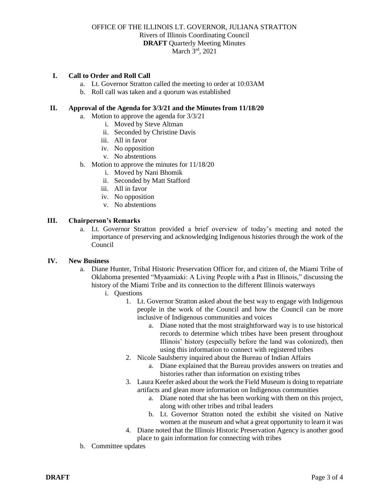## **I. Call to Order and Roll Call**

- a. Lt. Governor Stratton called the meeting to order at 10:03AM
- b. Roll call was taken and a quorum was established

### **II. Approval of the Agenda for 3/3/21 and the Minutes from 11/18/20**

- a. Motion to approve the agenda for 3/3/21
	- i. Moved by Steve Altman
	- ii. Seconded by Christine Davis
	- iii. All in favor
	- iv. No opposition
	- v. No abstentions
- b. Motion to approve the minutes for 11/18/20
	- i. Moved by Nani Bhomik
	- ii. Seconded by Matt Stafford
	- iii. All in favor
	- iv. No opposition
	- v. No abstentions

# **III. Chairperson's Remarks**

a. Lt. Governor Stratton provided a brief overview of today's meeting and noted the importance of preserving and acknowledging Indigenous histories through the work of the Council

#### **IV. New Business**

- a. Diane Hunter, Tribal Historic Preservation Officer for, and citizen of, the Miami Tribe of Oklahoma presented "Myaamiaki: A Living People with a Past in Illinois," discussing the history of the Miami Tribe and its connection to the different Illinois waterways
	- i. Questions
		- 1. Lt. Governor Stratton asked about the best way to engage with Indigenous people in the work of the Council and how the Council can be more inclusive of Indigenous communities and voices
			- a. Diane noted that the most straightforward way is to use historical records to determine which tribes have been present throughout Illinois' history (especially before the land was colonized), then using this information to connect with registered tribes
		- 2. Nicole Saulsberry inquired about the Bureau of Indian Affairs
			- a. Diane explained that the Bureau provides answers on treaties and histories rather than information on existing tribes
		- 3. Laura Keefer asked about the work the Field Museum is doing to repatriate artifacts and glean more information on Indigenous communities
			- a. Diane noted that she has been working with them on this project, along with other tribes and tribal leaders
			- b. Lt. Governor Stratton noted the exhibit she visited on Native women at the museum and what a great opportunity to learn it was
		- 4. Diane noted that the Illinois Historic Preservation Agency is another good place to gain information for connecting with tribes
- b. Committee updates